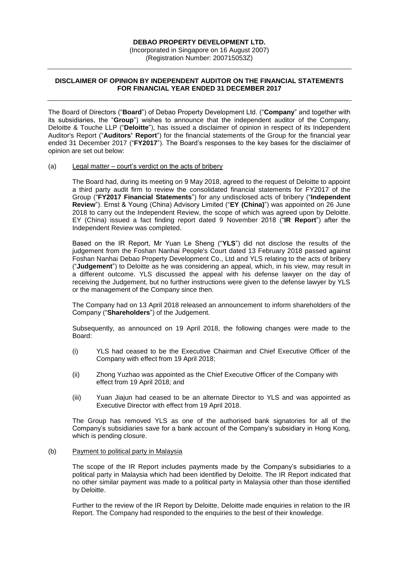## **DEBAO PROPERTY DEVELOPMENT LTD.**

(Incorporated in Singapore on 16 August 2007) (Registration Number: 200715053Z)

## **DISCLAIMER OF OPINION BY INDEPENDENT AUDITOR ON THE FINANCIAL STATEMENTS FOR FINANCIAL YEAR ENDED 31 DECEMBER 2017**

The Board of Directors ("**Board**") of Debao Property Development Ltd. ("**Company**" and together with its subsidiaries, the "**Group**") wishes to announce that the independent auditor of the Company, Deloitte & Touche LLP ("**Deloitte**"), has issued a disclaimer of opinion in respect of its Independent Auditor's Report ("**Auditors' Report**") for the financial statements of the Group for the financial year ended 31 December 2017 ("**FY2017**"). The Board's responses to the key bases for the disclaimer of opinion are set out below:

### (a) Legal matter – court's verdict on the acts of bribery

The Board had, during its meeting on 9 May 2018, agreed to the request of Deloitte to appoint a third party audit firm to review the consolidated financial statements for FY2017 of the Group ("**FY2017 Financial Statements**") for any undisclosed acts of bribery ("**Independent Review**"). Ernst & Young (China) Advisory Limited ("**EY (China)**") was appointed on 26 June 2018 to carry out the Independent Review, the scope of which was agreed upon by Deloitte. EY (China) issued a fact finding report dated 9 November 2018 ("**IR Report**") after the Independent Review was completed.

Based on the IR Report, Mr Yuan Le Sheng ("**YLS**") did not disclose the results of the judgement from the Foshan Nanhai People's Court dated 13 February 2018 passed against Foshan Nanhai Debao Property Development Co., Ltd and YLS relating to the acts of bribery ("**Judgement**") to Deloitte as he was considering an appeal, which, in his view, may result in a different outcome. YLS discussed the appeal with his defense lawyer on the day of receiving the Judgement, but no further instructions were given to the defense lawyer by YLS or the management of the Company since then.

The Company had on 13 April 2018 released an announcement to inform shareholders of the Company ("**Shareholders**") of the Judgement.

Subsequently, as announced on 19 April 2018, the following changes were made to the Board:

- (i) YLS had ceased to be the Executive Chairman and Chief Executive Officer of the Company with effect from 19 April 2018;
- (ii) Zhong Yuzhao was appointed as the Chief Executive Officer of the Company with effect from 19 April 2018; and
- (iii) Yuan Jiajun had ceased to be an alternate Director to YLS and was appointed as Executive Director with effect from 19 April 2018.

The Group has removed YLS as one of the authorised bank signatories for all of the Company's subsidiaries save for a bank account of the Company's subsidiary in Hong Kong, which is pending closure.

#### (b) Payment to political party in Malaysia

The scope of the IR Report includes payments made by the Company's subsidiaries to a political party in Malaysia which had been identified by Deloitte. The IR Report indicated that no other similar payment was made to a political party in Malaysia other than those identified by Deloitte.

Further to the review of the IR Report by Deloitte, Deloitte made enquiries in relation to the IR Report. The Company had responded to the enquiries to the best of their knowledge.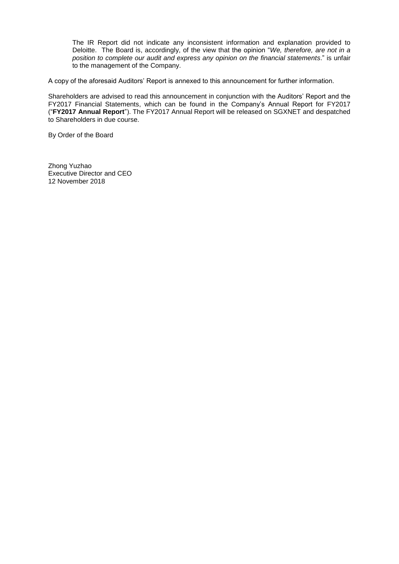The IR Report did not indicate any inconsistent information and explanation provided to Deloitte. The Board is, accordingly, of the view that the opinion "*We, therefore, are not in a position to complete our audit and express any opinion on the financial statements*." is unfair to the management of the Company.

A copy of the aforesaid Auditors' Report is annexed to this announcement for further information.

Shareholders are advised to read this announcement in conjunction with the Auditors' Report and the FY2017 Financial Statements, which can be found in the Company's Annual Report for FY2017 ("**FY2017 Annual Report**"). The FY2017 Annual Report will be released on SGXNET and despatched to Shareholders in due course.

By Order of the Board

Zhong Yuzhao Executive Director and CEO 12 November 2018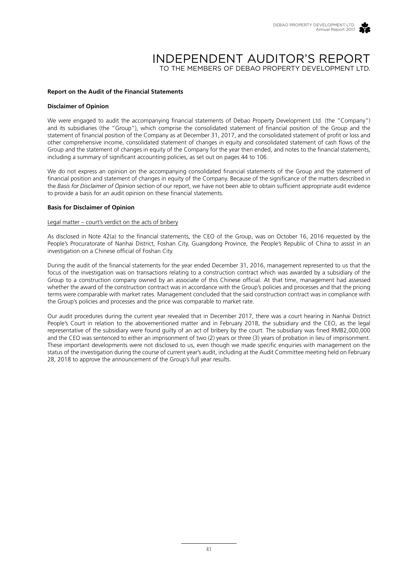

# INDEPENDENT AUDITOR'S REPORT TO THE MEMBERS OF DEBAO PROPERTY DEVELOPMENT LTD.

## **Report on the Audit of the Financial Statements**

#### **Disclaimer of Opinion**

We were engaged to audit the accompanying financial statements of Debao Property Development Ltd. (the "Company") and its subsidiaries (the "Group"), which comprise the consolidated statement of financial position of the Group and the statement of financial position of the Company as at December 31, 2017, and the consolidated statement of profit or loss and other comprehensive income, consolidated statement of changes in equity and consolidated statement of cash flows of the Group and the statement of changes in equity of the Company for the year then ended, and notes to the financial statements, including a summary of significant accounting policies, as set out on pages 44 to 106.

We do not express an opinion on the accompanying consolidated financial statements of the Group and the statement of financial position and statement of changes in equity of the Company. Because of the significance of the matters described in the *Basis for Disclaimer of Opinion* section of our report, we have not been able to obtain sufficient appropriate audit evidence to provide a basis for an audit opinion on these financial statements.

### **Basis for Disclaimer of Opinion**

#### Legal matter – court's verdict on the acts of bribery

As disclosed in Note 42(a) to the financial statements, the CEO of the Group, was on October 16, 2016 requested by the People's Procuratorate of Nanhai District, Foshan City, Guangdong Province, the People's Republic of China to assist in an investigation on a Chinese official of Foshan City.

During the audit of the financial statements for the year ended December 31, 2016, management represented to us that the focus of the investigation was on transactions relating to a construction contract which was awarded by a subsidiary of the Group to a construction company owned by an associate of this Chinese official. At that time, management had assessed whether the award of the construction contract was in accordance with the Group's policies and processes and that the pricing terms were comparable with market rates. Management concluded that the said construction contract was in compliance with the Group's policies and processes and the price was comparable to market rate.

Our audit procedures during the current year revealed that in December 2017, there was a court hearing in Nanhai District People's Court in relation to the abovementioned matter and in February 2018, the subsidiary and the CEO, as the legal representative of the subsidiary were found guilty of an act of bribery by the court. The subsidiary was fined RMB2,000,000 and the CEO was sentenced to either an imprisonment of two (2) years or three (3) years of probation in lieu of imprisonment. These important developments were not disclosed to us, even though we made specific enquiries with management on the status of the investigation during the course of current year's audit, including at the Audit Committee meeting held on February 28, 2018 to approve the announcement of the Group's full year results.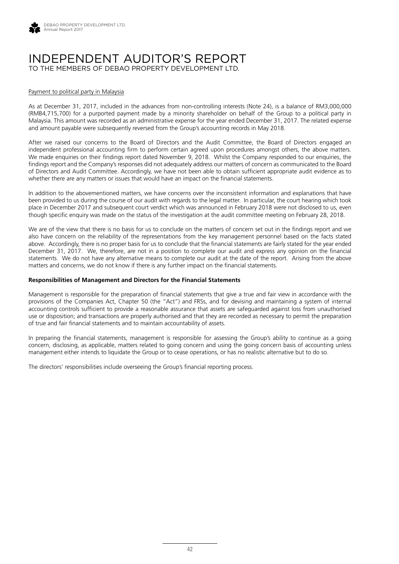

# INDEPENDENT AUDITOR'S REPORT TO THE MEMBERS OF DEBAO PROPERTY DEVELOPMENT LTD.

#### Payment to political party in Malaysia

As at December 31, 2017, included in the advances from non-controlling interests (Note 24), is a balance of RM3,000,000 (RMB4,715,700) for a purported payment made by a minority shareholder on behalf of the Group to a political party in Malaysia. This amount was recorded as an administrative expense for the year ended December 31, 2017. The related expense and amount payable were subsequently reversed from the Group's accounting records in May 2018.

After we raised our concerns to the Board of Directors and the Audit Committee, the Board of Directors engaged an independent professional accounting firm to perform certain agreed upon procedures amongst others, the above matters. We made enquiries on their findings report dated November 9, 2018. Whilst the Company responded to our enquiries, the findings report and the Company's responses did not adequately address our matters of concern as communicated to the Board of Directors and Audit Committee. Accordingly, we have not been able to obtain sufficient appropriate audit evidence as to whether there are any matters or issues that would have an impact on the financial statements.

In addition to the abovementioned matters, we have concerns over the inconsistent information and explanations that have been provided to us during the course of our audit with regards to the legal matter. In particular, the court hearing which took place in December 2017 and subsequent court verdict which was announced in February 2018 were not disclosed to us, even though specific enquiry was made on the status of the investigation at the audit committee meeting on February 28, 2018.

We are of the view that there is no basis for us to conclude on the matters of concern set out in the findings report and we also have concern on the reliability of the representations from the key management personnel based on the facts stated above. Accordingly, there is no proper basis for us to conclude that the financial statements are fairly stated for the year ended December 31, 2017. We, therefore, are not in a position to complete our audit and express any opinion on the financial statements. We do not have any alternative means to complete our audit at the date of the report. Arising from the above matters and concerns, we do not know if there is any further impact on the financial statements.

### **Responsibilities of Management and Directors for the Financial Statements**

Management is responsible for the preparation of financial statements that give a true and fair view in accordance with the provisions of the Companies Act, Chapter 50 (the "Act") and FRSs, and for devising and maintaining a system of internal accounting controls sufficient to provide a reasonable assurance that assets are safeguarded against loss from unauthorised use or disposition; and transactions are properly authorised and that they are recorded as necessary to permit the preparation of true and fair financial statements and to maintain accountability of assets.

In preparing the financial statements, management is responsible for assessing the Group's ability to continue as a going concern, disclosing, as applicable, matters related to going concern and using the going concern basis of accounting unless management either intends to liquidate the Group or to cease operations, or has no realistic alternative but to do so.

The directors' responsibilities include overseeing the Group's financial reporting process.